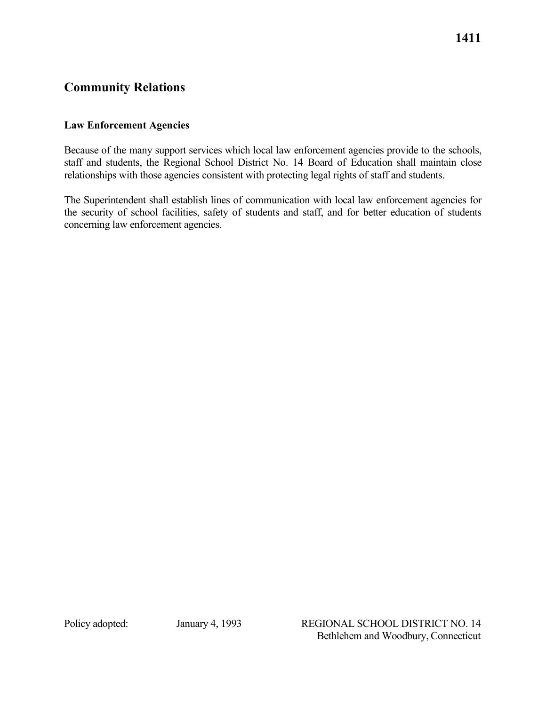# **Community Relations**

### **Law Enforcement Agencies**

 Because of the many support services which local law enforcement agencies provide to the schools, staff and students, the Regional School District No. 14 Board of Education shall maintain close relationships with those agencies consistent with protecting legal rights of staff and students.

The Superintendent shall establish lines of communication with local law enforcement agencies for the security of school facilities, safety of students and staff, and for better education of students concerning law enforcement agencies.

Policy adopted: